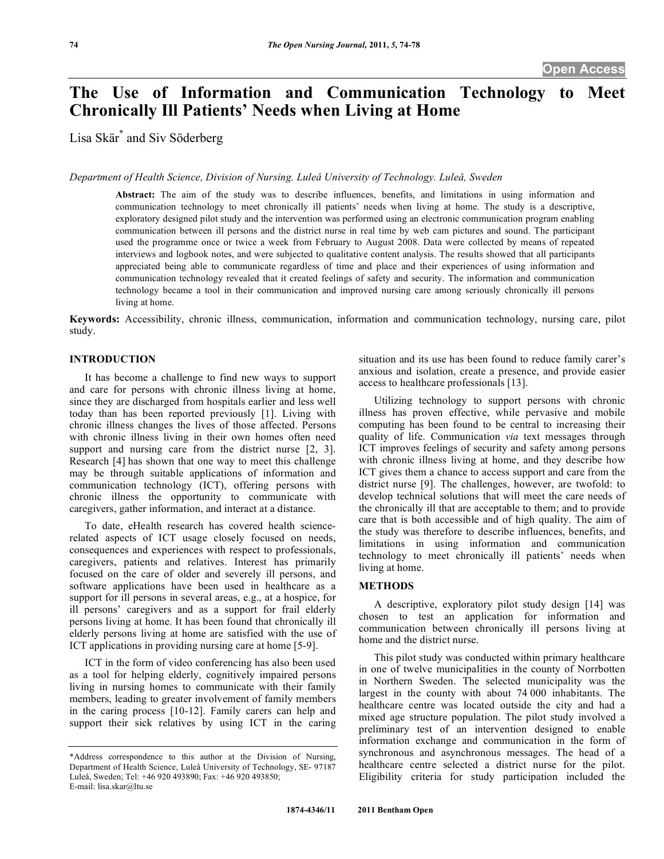# **The Use of Information and Communication Technology to Meet Chronically Ill Patients' Needs when Living at Home**

Lisa Skär\* and Siv Söderberg

*Department of Health Science, Division of Nursing. Luleå University of Technology. Luleå, Sweden* 

**Abstract:** The aim of the study was to describe influences, benefits, and limitations in using information and communication technology to meet chronically ill patients' needs when living at home. The study is a descriptive, exploratory designed pilot study and the intervention was performed using an electronic communication program enabling communication between ill persons and the district nurse in real time by web cam pictures and sound. The participant used the programme once or twice a week from February to August 2008. Data were collected by means of repeated interviews and logbook notes, and were subjected to qualitative content analysis. The results showed that all participants appreciated being able to communicate regardless of time and place and their experiences of using information and communication technology revealed that it created feelings of safety and security. The information and communication technology became a tool in their communication and improved nursing care among seriously chronically ill persons living at home.

**Keywords:** Accessibility, chronic illness, communication, information and communication technology, nursing care, pilot study.

# **INTRODUCTION**

 It has become a challenge to find new ways to support and care for persons with chronic illness living at home, since they are discharged from hospitals earlier and less well today than has been reported previously [1]. Living with chronic illness changes the lives of those affected. Persons with chronic illness living in their own homes often need support and nursing care from the district nurse [2, 3]. Research [4] has shown that one way to meet this challenge may be through suitable applications of information and communication technology (ICT), offering persons with chronic illness the opportunity to communicate with caregivers, gather information, and interact at a distance.

 To date, eHealth research has covered health sciencerelated aspects of ICT usage closely focused on needs, consequences and experiences with respect to professionals, caregivers, patients and relatives. Interest has primarily focused on the care of older and severely ill persons, and software applications have been used in healthcare as a support for ill persons in several areas, e.g., at a hospice, for ill persons' caregivers and as a support for frail elderly persons living at home. It has been found that chronically ill elderly persons living at home are satisfied with the use of ICT applications in providing nursing care at home [5-9].

 ICT in the form of video conferencing has also been used as a tool for helping elderly, cognitively impaired persons living in nursing homes to communicate with their family members, leading to greater involvement of family members in the caring process [10-12]. Family carers can help and support their sick relatives by using ICT in the caring

situation and its use has been found to reduce family carer's anxious and isolation, create a presence, and provide easier access to healthcare professionals [13].

 Utilizing technology to support persons with chronic illness has proven effective, while pervasive and mobile computing has been found to be central to increasing their quality of life. Communication *via* text messages through ICT improves feelings of security and safety among persons with chronic illness living at home, and they describe how ICT gives them a chance to access support and care from the district nurse [9]. The challenges, however, are twofold: to develop technical solutions that will meet the care needs of the chronically ill that are acceptable to them; and to provide care that is both accessible and of high quality. The aim of the study was therefore to describe influences, benefits, and limitations in using information and communication technology to meet chronically ill patients' needs when living at home.

#### **METHODS**

 A descriptive, exploratory pilot study design [14] was chosen to test an application for information and communication between chronically ill persons living at home and the district nurse.

 This pilot study was conducted within primary healthcare in one of twelve municipalities in the county of Norrbotten in Northern Sweden. The selected municipality was the largest in the county with about 74 000 inhabitants. The healthcare centre was located outside the city and had a mixed age structure population. The pilot study involved a preliminary test of an intervention designed to enable information exchange and communication in the form of synchronous and asynchronous messages. The head of a healthcare centre selected a district nurse for the pilot. Eligibility criteria for study participation included the

<sup>\*</sup>Address correspondence to this author at the Division of Nursing, Department of Health Science, Luleå University of Technology, SE- 97187 Luleå, Sweden; Tel: +46 920 493890; Fax: +46 920 493850; E-mail: lisa.skar@ltu.se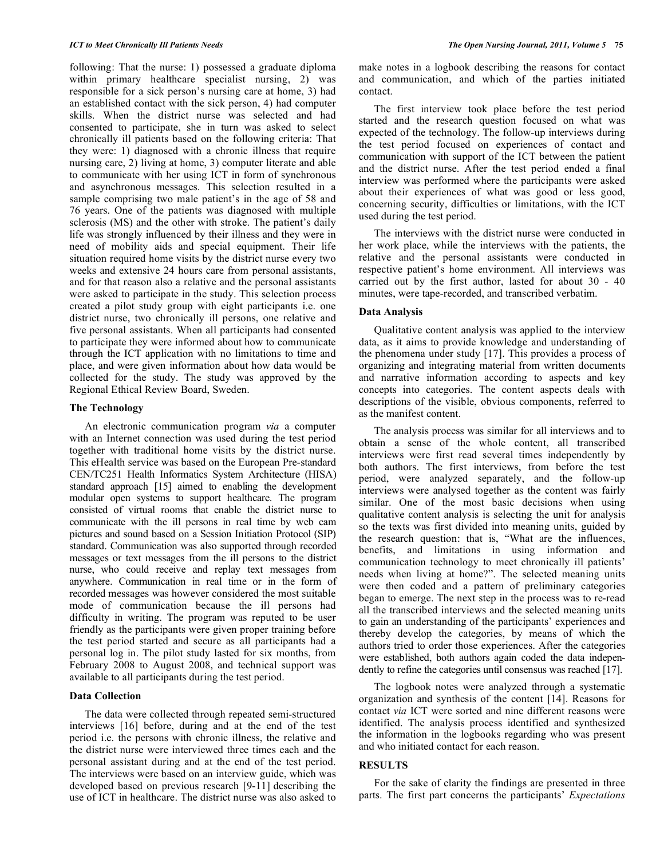following: That the nurse: 1) possessed a graduate diploma within primary healthcare specialist nursing, 2) was responsible for a sick person's nursing care at home, 3) had an established contact with the sick person, 4) had computer skills. When the district nurse was selected and had consented to participate, she in turn was asked to select chronically ill patients based on the following criteria: That they were: 1) diagnosed with a chronic illness that require nursing care, 2) living at home, 3) computer literate and able to communicate with her using ICT in form of synchronous and asynchronous messages. This selection resulted in a sample comprising two male patient's in the age of 58 and 76 years. One of the patients was diagnosed with multiple sclerosis (MS) and the other with stroke. The patient's daily life was strongly influenced by their illness and they were in need of mobility aids and special equipment. Their life situation required home visits by the district nurse every two weeks and extensive 24 hours care from personal assistants, and for that reason also a relative and the personal assistants were asked to participate in the study. This selection process created a pilot study group with eight participants i.e. one district nurse, two chronically ill persons, one relative and five personal assistants. When all participants had consented to participate they were informed about how to communicate through the ICT application with no limitations to time and place, and were given information about how data would be collected for the study. The study was approved by the Regional Ethical Review Board, Sweden.

#### **The Technology**

 An electronic communication program *via* a computer with an Internet connection was used during the test period together with traditional home visits by the district nurse. This eHealth service was based on the European Pre-standard CEN/TC251 Health Informatics System Architecture (HISA) standard approach [15] aimed to enabling the development modular open systems to support healthcare. The program consisted of virtual rooms that enable the district nurse to communicate with the ill persons in real time by web cam pictures and sound based on a Session Initiation Protocol (SIP) standard. Communication was also supported through recorded messages or text messages from the ill persons to the district nurse, who could receive and replay text messages from anywhere. Communication in real time or in the form of recorded messages was however considered the most suitable mode of communication because the ill persons had difficulty in writing. The program was reputed to be user friendly as the participants were given proper training before the test period started and secure as all participants had a personal log in. The pilot study lasted for six months, from February 2008 to August 2008, and technical support was available to all participants during the test period.

## **Data Collection**

 The data were collected through repeated semi-structured interviews [16] before, during and at the end of the test period i.e. the persons with chronic illness, the relative and the district nurse were interviewed three times each and the personal assistant during and at the end of the test period. The interviews were based on an interview guide, which was developed based on previous research [9-11] describing the use of ICT in healthcare. The district nurse was also asked to

make notes in a logbook describing the reasons for contact and communication, and which of the parties initiated contact.

 The first interview took place before the test period started and the research question focused on what was expected of the technology. The follow-up interviews during the test period focused on experiences of contact and communication with support of the ICT between the patient and the district nurse. After the test period ended a final interview was performed where the participants were asked about their experiences of what was good or less good, concerning security, difficulties or limitations, with the ICT used during the test period.

 The interviews with the district nurse were conducted in her work place, while the interviews with the patients, the relative and the personal assistants were conducted in respective patient's home environment. All interviews was carried out by the first author, lasted for about 30 - 40 minutes, were tape-recorded, and transcribed verbatim.

### **Data Analysis**

 Qualitative content analysis was applied to the interview data, as it aims to provide knowledge and understanding of the phenomena under study [17]. This provides a process of organizing and integrating material from written documents and narrative information according to aspects and key concepts into categories. The content aspects deals with descriptions of the visible, obvious components, referred to as the manifest content.

 The analysis process was similar for all interviews and to obtain a sense of the whole content, all transcribed interviews were first read several times independently by both authors. The first interviews, from before the test period, were analyzed separately, and the follow-up interviews were analysed together as the content was fairly similar. One of the most basic decisions when using qualitative content analysis is selecting the unit for analysis so the texts was first divided into meaning units, guided by the research question: that is, "What are the influences, benefits, and limitations in using information and communication technology to meet chronically ill patients' needs when living at home?". The selected meaning units were then coded and a pattern of preliminary categories began to emerge. The next step in the process was to re-read all the transcribed interviews and the selected meaning units to gain an understanding of the participants' experiences and thereby develop the categories, by means of which the authors tried to order those experiences. After the categories were established, both authors again coded the data independently to refine the categories until consensus was reached [17].

 The logbook notes were analyzed through a systematic organization and synthesis of the content [14]. Reasons for contact *via* ICT were sorted and nine different reasons were identified. The analysis process identified and synthesized the information in the logbooks regarding who was present and who initiated contact for each reason.

## **RESULTS**

 For the sake of clarity the findings are presented in three parts. The first part concerns the participants' *Expectations*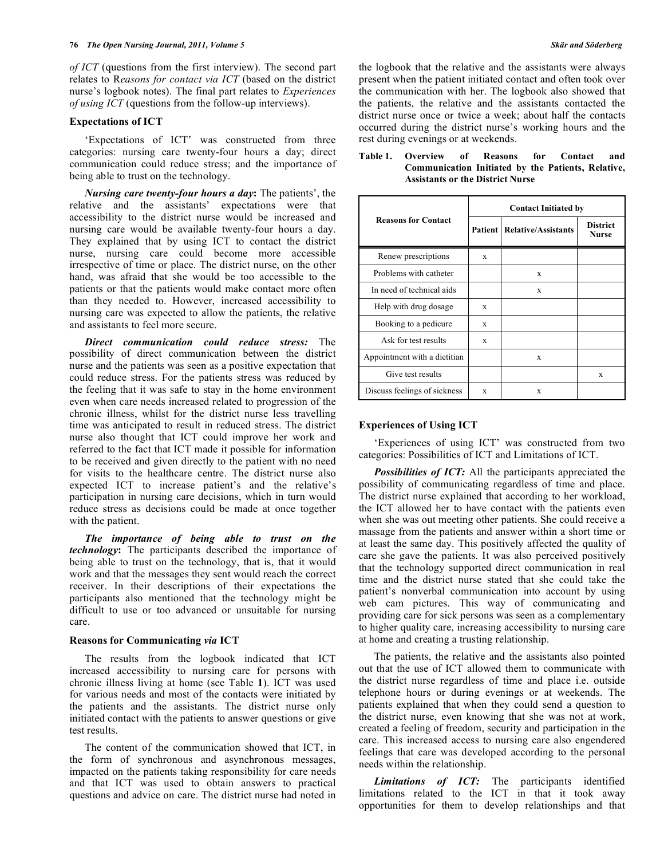*of ICT* (questions from the first interview). The second part relates to R*easons for contact via ICT* (based on the district nurse's logbook notes). The final part relates to *Experiences of using ICT* (questions from the follow-up interviews).

#### **Expectations of ICT**

 'Expectations of ICT' was constructed from three categories: nursing care twenty-four hours a day; direct communication could reduce stress; and the importance of being able to trust on the technology.

*Nursing care twenty-four hours a day***:** The patients', the relative and the assistants' expectations were that accessibility to the district nurse would be increased and nursing care would be available twenty-four hours a day. They explained that by using ICT to contact the district nurse, nursing care could become more accessible irrespective of time or place. The district nurse, on the other hand, was afraid that she would be too accessible to the patients or that the patients would make contact more often than they needed to. However, increased accessibility to nursing care was expected to allow the patients, the relative and assistants to feel more secure.

*Direct communication could reduce stress:* The possibility of direct communication between the district nurse and the patients was seen as a positive expectation that could reduce stress. For the patients stress was reduced by the feeling that it was safe to stay in the home environment even when care needs increased related to progression of the chronic illness, whilst for the district nurse less travelling time was anticipated to result in reduced stress. The district nurse also thought that ICT could improve her work and referred to the fact that ICT made it possible for information to be received and given directly to the patient with no need for visits to the healthcare centre. The district nurse also expected ICT to increase patient's and the relative's participation in nursing care decisions, which in turn would reduce stress as decisions could be made at once together with the patient.

*The importance of being able to trust on the technology***:** The participants described the importance of being able to trust on the technology, that is, that it would work and that the messages they sent would reach the correct receiver. In their descriptions of their expectations the participants also mentioned that the technology might be difficult to use or too advanced or unsuitable for nursing care.

#### **Reasons for Communicating** *via* **ICT**

 The results from the logbook indicated that ICT increased accessibility to nursing care for persons with chronic illness living at home (see Table **1**). ICT was used for various needs and most of the contacts were initiated by the patients and the assistants. The district nurse only initiated contact with the patients to answer questions or give test results.

 The content of the communication showed that ICT, in the form of synchronous and asynchronous messages, impacted on the patients taking responsibility for care needs and that ICT was used to obtain answers to practical questions and advice on care. The district nurse had noted in

the logbook that the relative and the assistants were always present when the patient initiated contact and often took over the communication with her. The logbook also showed that the patients, the relative and the assistants contacted the district nurse once or twice a week; about half the contacts occurred during the district nurse's working hours and the rest during evenings or at weekends.

| <b>Reasons for Contact</b>   | <b>Contact Initiated by</b> |                                      |                                 |
|------------------------------|-----------------------------|--------------------------------------|---------------------------------|
|                              |                             | <b>Patient   Relative/Assistants</b> | <b>District</b><br><b>Nurse</b> |
| Renew prescriptions          | X                           |                                      |                                 |
| Problems with catheter       |                             | X                                    |                                 |
| In need of technical aids    |                             | X                                    |                                 |
| Help with drug dosage        | X                           |                                      |                                 |
| Booking to a pedicure        | X                           |                                      |                                 |
| Ask for test results         | X                           |                                      |                                 |
| Appointment with a dietitian |                             | X                                    |                                 |
| Give test results            |                             |                                      | $\mathbf x$                     |
| Discuss feelings of sickness | X                           | $\mathbf x$                          |                                 |

### **Table 1. Overview of Reasons for Contact and Communication Initiated by the Patients, Relative, Assistants or the District Nurse**

#### **Experiences of Using ICT**

 'Experiences of using ICT' was constructed from two categories: Possibilities of ICT and Limitations of ICT.

*Possibilities of ICT:* All the participants appreciated the possibility of communicating regardless of time and place. The district nurse explained that according to her workload, the ICT allowed her to have contact with the patients even when she was out meeting other patients. She could receive a massage from the patients and answer within a short time or at least the same day. This positively affected the quality of care she gave the patients. It was also perceived positively that the technology supported direct communication in real time and the district nurse stated that she could take the patient's nonverbal communication into account by using web cam pictures. This way of communicating and providing care for sick persons was seen as a complementary to higher quality care, increasing accessibility to nursing care at home and creating a trusting relationship.

 The patients, the relative and the assistants also pointed out that the use of ICT allowed them to communicate with the district nurse regardless of time and place i.e. outside telephone hours or during evenings or at weekends. The patients explained that when they could send a question to the district nurse, even knowing that she was not at work, created a feeling of freedom, security and participation in the care. This increased access to nursing care also engendered feelings that care was developed according to the personal needs within the relationship.

*Limitations of ICT:* The participants identified limitations related to the ICT in that it took away opportunities for them to develop relationships and that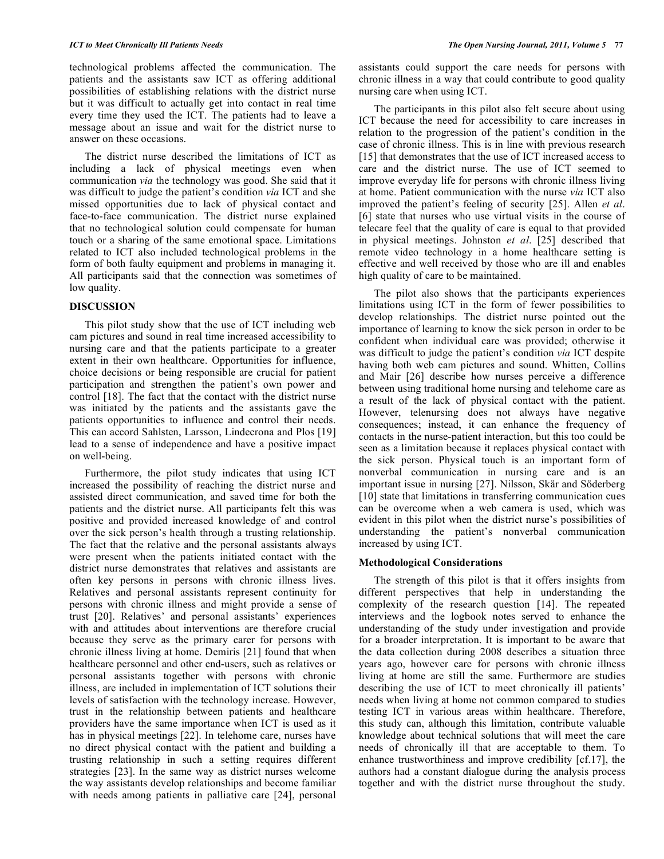technological problems affected the communication. The patients and the assistants saw ICT as offering additional possibilities of establishing relations with the district nurse but it was difficult to actually get into contact in real time every time they used the ICT. The patients had to leave a message about an issue and wait for the district nurse to answer on these occasions.

 The district nurse described the limitations of ICT as including a lack of physical meetings even when communication *via* the technology was good. She said that it was difficult to judge the patient's condition *via* ICT and she missed opportunities due to lack of physical contact and face-to-face communication. The district nurse explained that no technological solution could compensate for human touch or a sharing of the same emotional space. Limitations related to ICT also included technological problems in the form of both faulty equipment and problems in managing it. All participants said that the connection was sometimes of low quality.

#### **DISCUSSION**

 This pilot study show that the use of ICT including web cam pictures and sound in real time increased accessibility to nursing care and that the patients participate to a greater extent in their own healthcare. Opportunities for influence, choice decisions or being responsible are crucial for patient participation and strengthen the patient's own power and control [18]. The fact that the contact with the district nurse was initiated by the patients and the assistants gave the patients opportunities to influence and control their needs. This can accord Sahlsten, Larsson, Lindecrona and Plos [19] lead to a sense of independence and have a positive impact on well-being.

 Furthermore, the pilot study indicates that using ICT increased the possibility of reaching the district nurse and assisted direct communication, and saved time for both the patients and the district nurse. All participants felt this was positive and provided increased knowledge of and control over the sick person's health through a trusting relationship. The fact that the relative and the personal assistants always were present when the patients initiated contact with the district nurse demonstrates that relatives and assistants are often key persons in persons with chronic illness lives. Relatives and personal assistants represent continuity for persons with chronic illness and might provide a sense of trust [20]. Relatives' and personal assistants' experiences with and attitudes about interventions are therefore crucial because they serve as the primary carer for persons with chronic illness living at home. Demiris [21] found that when healthcare personnel and other end-users, such as relatives or personal assistants together with persons with chronic illness, are included in implementation of ICT solutions their levels of satisfaction with the technology increase. However, trust in the relationship between patients and healthcare providers have the same importance when ICT is used as it has in physical meetings [22]. In telehome care, nurses have no direct physical contact with the patient and building a trusting relationship in such a setting requires different strategies [23]. In the same way as district nurses welcome the way assistants develop relationships and become familiar with needs among patients in palliative care [24], personal

assistants could support the care needs for persons with chronic illness in a way that could contribute to good quality nursing care when using ICT.

 The participants in this pilot also felt secure about using ICT because the need for accessibility to care increases in relation to the progression of the patient's condition in the case of chronic illness. This is in line with previous research [15] that demonstrates that the use of ICT increased access to care and the district nurse. The use of ICT seemed to improve everyday life for persons with chronic illness living at home. Patient communication with the nurse *via* ICT also improved the patient's feeling of security [25]. Allen *et al*. [6] state that nurses who use virtual visits in the course of telecare feel that the quality of care is equal to that provided in physical meetings. Johnston *et al*. [25] described that remote video technology in a home healthcare setting is effective and well received by those who are ill and enables high quality of care to be maintained.

 The pilot also shows that the participants experiences limitations using ICT in the form of fewer possibilities to develop relationships. The district nurse pointed out the importance of learning to know the sick person in order to be confident when individual care was provided; otherwise it was difficult to judge the patient's condition *via* ICT despite having both web cam pictures and sound. Whitten, Collins and Mair [26] describe how nurses perceive a difference between using traditional home nursing and telehome care as a result of the lack of physical contact with the patient. However, telenursing does not always have negative consequences; instead, it can enhance the frequency of contacts in the nurse-patient interaction, but this too could be seen as a limitation because it replaces physical contact with the sick person. Physical touch is an important form of nonverbal communication in nursing care and is an important issue in nursing [27]. Nilsson, Skär and Söderberg [10] state that limitations in transferring communication cues can be overcome when a web camera is used, which was evident in this pilot when the district nurse's possibilities of understanding the patient's nonverbal communication increased by using ICT.

## **Methodological Considerations**

 The strength of this pilot is that it offers insights from different perspectives that help in understanding the complexity of the research question [14]. The repeated interviews and the logbook notes served to enhance the understanding of the study under investigation and provide for a broader interpretation. It is important to be aware that the data collection during 2008 describes a situation three years ago, however care for persons with chronic illness living at home are still the same. Furthermore are studies describing the use of ICT to meet chronically ill patients' needs when living at home not common compared to studies testing ICT in various areas within healthcare. Therefore, this study can, although this limitation, contribute valuable knowledge about technical solutions that will meet the care needs of chronically ill that are acceptable to them. To enhance trustworthiness and improve credibility [cf.17], the authors had a constant dialogue during the analysis process together and with the district nurse throughout the study.